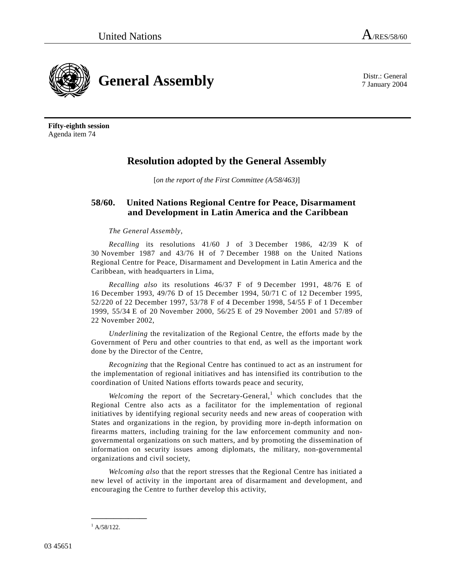7 January 2004



**Fifty-eighth session**  Agenda item 74

## **Resolution adopted by the General Assembly**

[*on the report of the First Committee (A/58/463)*]

## **58/60. United Nations Regional Centre for Peace, Disarmament and Development in Latin America and the Caribbean**

## *The General Assembly*,

*Recalling* its resolutions 41/60 J of 3 December 1986, 42/39 K of 30 November 1987 and 43/76 H of 7 December 1988 on the United Nations Regional Centre for Peace, Disarmament and Development in Latin America and the Caribbean, with headquarters in Lima,

*Recalling also* its resolutions 46/37 F of 9 December 1991, 48/76 E of 16 December 1993, 49/76 D of 15 December 1994, 50/71 C of 12 December 1995, 52/220 of 22 December 1997, 53/78 F of 4 December 1998, 54/55 F of 1 December 1999, 55/34 E of 20 November 2000, 56/25 E of 29 November 2001 and 57/89 of 22 November 2002,

*Underlining* the revitalization of the Regional Centre, the efforts made by the Government of Peru and other countries to that end, as well as the important work done by the Director of the Centre,

*Recognizing* that the Regional Centre has continued to act as an instrument for the implementation of regional initiatives and has intensified its contribution to the coordination of United Nations efforts towards peace and security,

Welcoming the report of the Secretary-General,<sup>1</sup> which concludes that the Regional Centre also acts as a facilitator for the implementation of regional initiatives by identifying regional security needs and new areas of cooperation with States and organizations in the region, by providing more in-depth information on firearms matters, including training for the law enforcement community and nongovernmental organizations on such matters, and by promoting the dissemination of information on security issues among diplomats, the military, non-governmental organizations and civil society,

*Welcoming also* that the report stresses that the Regional Centre has initiated a new level of activity in the important area of disarmament and development, and encouraging the Centre to further develop this activity,

**\_\_\_\_\_\_\_\_\_\_\_\_\_\_\_** 

 $^{1}$  A/58/122.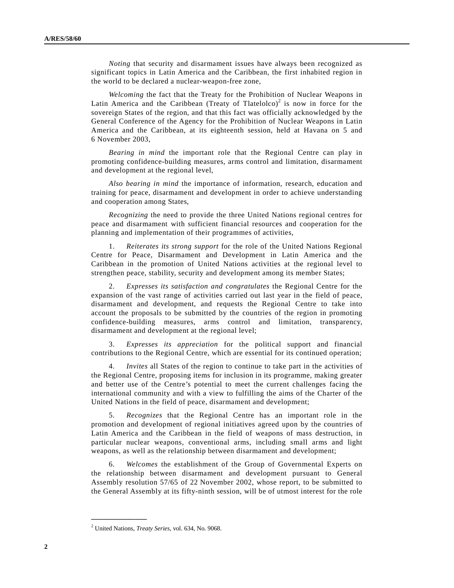*Noting* that security and disarmament issues have always been recognized as significant topics in Latin America and the Caribbean, the first inhabited region in the world to be declared a nuclear-weapon-free zone,

*Welcoming* the fact that the Treaty for the Prohibition of Nuclear Weapons in Latin America and the Caribbean (Treaty of Tlatelolco)<sup>2</sup> is now in force for the sovereign States of the region, and that this fact was officially acknowledged by the General Conference of the Agency for the Prohibition of Nuclear Weapons in Latin America and the Caribbean, at its eighteenth session, held at Havana on 5 and 6 November 2003,

*Bearing in mind* the important role that the Regional Centre can play in promoting confidence-building measures, arms control and limitation, disarmament and development at the regional level,

*Also bearing in mind* the importance of information, research, education and training for peace, disarmament and development in order to achieve understanding and cooperation among States,

*Recognizing* the need to provide the three United Nations regional centres for peace and disarmament with sufficient financial resources and cooperation for the planning and implementation of their programmes of activities,

 1. *Reiterates its strong support* for the role of the United Nations Regional Centre for Peace, Disarmament and Development in Latin America and the Caribbean in the promotion of United Nations activities at the regional level to strengthen peace, stability, security and development among its member States;

 2. *Expresses its satisfaction and congratulates* the Regional Centre for the expansion of the vast range of activities carried out last year in the field of peace, disarmament and development, and requests the Regional Centre to take into account the proposals to be submitted by the countries of the region in promoting confidence-building measures, arms control and limitation, transparency, disarmament and development at the regional level;

 3. *Expresses its appreciation* for the political support and financial contributions to the Regional Centre, which are essential for its continued operation;

 4. *Invites* all States of the region to continue to take part in the activities of the Regional Centre, proposing items for inclusion in its programme, making greater and better use of the Centre's potential to meet the current challenges facing the international community and with a view to fulfilling the aims of the Charter of the United Nations in the field of peace, disarmament and development;

 5. *Recognizes* that the Regional Centre has an important role in the promotion and development of regional initiatives agreed upon by the countries of Latin America and the Caribbean in the field of weapons of mass destruction, in particular nuclear weapons, conventional arms, including small arms and light weapons, as well as the relationship between disarmament and development;

 6. *Welcomes* the establishment of the Group of Governmental Experts on the relationship between disarmament and development pursuant to General Assembly resolution 57/65 of 22 November 2002, whose report, to be submitted to the General Assembly at its fifty-ninth session, will be of utmost interest for the role

**\_\_\_\_\_\_\_\_\_\_\_\_\_\_\_** 

<sup>2</sup> United Nations, *Treaty Series*, vol. 634, No. 9068.